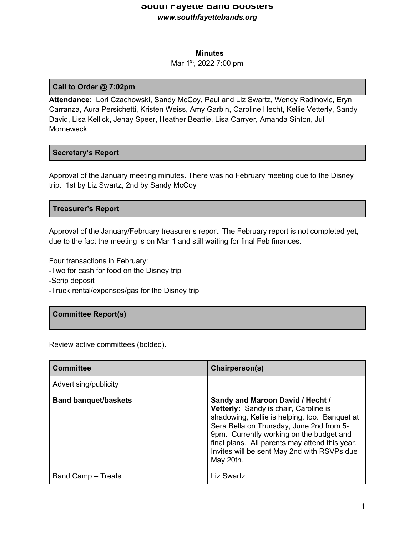## **Minutes**

## Mar 1<sup>st</sup>, 2022 7:00 pm

## **Call to Order @ 7:02pm**

**Attendance:** Lori Czachowski, Sandy McCoy, Paul and Liz Swartz, Wendy Radinovic, Eryn Carranza, Aura Persichetti, Kristen Weiss, Amy Garbin, Caroline Hecht, Kellie Vetterly, Sandy David, Lisa Kellick, Jenay Speer, Heather Beattie, Lisa Carryer, Amanda Sinton, Juli **Morneweck** 

## **Secretary's Report**

Approval of the January meeting minutes. There was no February meeting due to the Disney trip. 1st by Liz Swartz, 2nd by Sandy McCoy

## **Treasurer's Report**

Approval of the January/February treasurer's report. The February report is not completed yet, due to the fact the meeting is on Mar 1 and still waiting for final Feb finances.

Four transactions in February:

- -Two for cash for food on the Disney trip
- -Scrip deposit
- -Truck rental/expenses/gas for the Disney trip

# **Committee Report(s)**

Review active committees (bolded).

| <b>Committee</b>            | Chairperson(s)                                                                                                                                                                                                                                                                                                                          |
|-----------------------------|-----------------------------------------------------------------------------------------------------------------------------------------------------------------------------------------------------------------------------------------------------------------------------------------------------------------------------------------|
| Advertising/publicity       |                                                                                                                                                                                                                                                                                                                                         |
| <b>Band banquet/baskets</b> | Sandy and Maroon David / Hecht /<br><b>Vetterly:</b> Sandy is chair, Caroline is<br>shadowing, Kellie is helping, too. Banquet at<br>Sera Bella on Thursday, June 2nd from 5-<br>9pm. Currently working on the budget and<br>final plans. All parents may attend this year.<br>Invites will be sent May 2nd with RSVPs due<br>May 20th. |
| Band Camp - Treats          | Liz Swartz                                                                                                                                                                                                                                                                                                                              |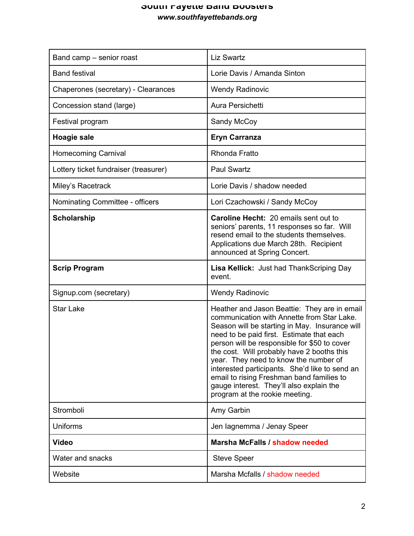| Band camp – senior roast              | <b>Liz Swartz</b>                                                                                                                                                                                                                                                                                                                                                                                                                                                                                             |
|---------------------------------------|---------------------------------------------------------------------------------------------------------------------------------------------------------------------------------------------------------------------------------------------------------------------------------------------------------------------------------------------------------------------------------------------------------------------------------------------------------------------------------------------------------------|
| <b>Band festival</b>                  | Lorie Davis / Amanda Sinton                                                                                                                                                                                                                                                                                                                                                                                                                                                                                   |
| Chaperones (secretary) - Clearances   | <b>Wendy Radinovic</b>                                                                                                                                                                                                                                                                                                                                                                                                                                                                                        |
| Concession stand (large)              | Aura Persichetti                                                                                                                                                                                                                                                                                                                                                                                                                                                                                              |
| Festival program                      | Sandy McCoy                                                                                                                                                                                                                                                                                                                                                                                                                                                                                                   |
| Hoagie sale                           | <b>Eryn Carranza</b>                                                                                                                                                                                                                                                                                                                                                                                                                                                                                          |
| <b>Homecoming Carnival</b>            | <b>Rhonda Fratto</b>                                                                                                                                                                                                                                                                                                                                                                                                                                                                                          |
| Lottery ticket fundraiser (treasurer) | <b>Paul Swartz</b>                                                                                                                                                                                                                                                                                                                                                                                                                                                                                            |
| Miley's Racetrack                     | Lorie Davis / shadow needed                                                                                                                                                                                                                                                                                                                                                                                                                                                                                   |
| Nominating Committee - officers       | Lori Czachowski / Sandy McCoy                                                                                                                                                                                                                                                                                                                                                                                                                                                                                 |
| <b>Scholarship</b>                    | <b>Caroline Hecht: 20 emails sent out to</b><br>seniors' parents, 11 responses so far. Will<br>resend email to the students themselves.<br>Applications due March 28th. Recipient<br>announced at Spring Concert.                                                                                                                                                                                                                                                                                             |
| <b>Scrip Program</b>                  | <b>Lisa Kellick:</b> Just had Thank Scriping Day<br>event.                                                                                                                                                                                                                                                                                                                                                                                                                                                    |
| Signup.com (secretary)                | <b>Wendy Radinovic</b>                                                                                                                                                                                                                                                                                                                                                                                                                                                                                        |
| <b>Star Lake</b>                      |                                                                                                                                                                                                                                                                                                                                                                                                                                                                                                               |
|                                       | Heather and Jason Beattie: They are in email<br>communication with Annette from Star Lake.<br>Season will be starting in May. Insurance will<br>need to be paid first. Estimate that each<br>person will be responsible for \$50 to cover<br>the cost. Will probably have 2 booths this<br>year. They need to know the number of<br>interested participants. She'd like to send an<br>email to rising Freshman band families to<br>gauge interest. They'll also explain the<br>program at the rookie meeting. |
| Stromboli                             | Amy Garbin                                                                                                                                                                                                                                                                                                                                                                                                                                                                                                    |
| Uniforms                              | Jen lagnemma / Jenay Speer                                                                                                                                                                                                                                                                                                                                                                                                                                                                                    |
| <b>Video</b>                          | Marsha McFalls / shadow needed                                                                                                                                                                                                                                                                                                                                                                                                                                                                                |
| Water and snacks                      | <b>Steve Speer</b>                                                                                                                                                                                                                                                                                                                                                                                                                                                                                            |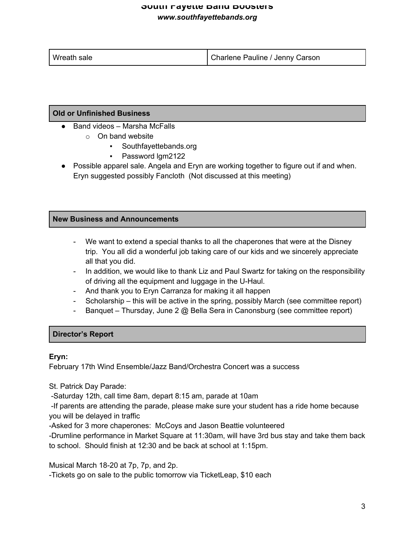| Wreath sale | Charlene Pauline / Jenny Carson |
|-------------|---------------------------------|

# **Old or Unfinished Business**

- Band videos Marsha McFalls
	- o On band website
		- Southfayettebands.org
		- Password lgm2122
- Possible apparel sale. Angela and Eryn are working together to figure out if and when. Eryn suggested possibly Fancloth (Not discussed at this meeting)

## **New Business and Announcements**

- We want to extend a special thanks to all the chaperones that were at the Disney trip. You all did a wonderful job taking care of our kids and we sincerely appreciate all that you did.
- In addition, we would like to thank Liz and Paul Swartz for taking on the responsibility of driving all the equipment and luggage in the U-Haul.
- And thank you to Eryn Carranza for making it all happen
- Scholarship this will be active in the spring, possibly March (see committee report)
- Banquet Thursday, June 2 @ Bella Sera in Canonsburg (see committee report)

## **Director's Report**

## **Eryn:**

February 17th Wind Ensemble/Jazz Band/Orchestra Concert was a success

St. Patrick Day Parade:

-Saturday 12th, call time 8am, depart 8:15 am, parade at 10am

-If parents are attending the parade, please make sure your student has a ride home because you will be delayed in traffic

-Asked for 3 more chaperones: McCoys and Jason Beattie volunteered

-Drumline performance in Market Square at 11:30am, will have 3rd bus stay and take them back to school. Should finish at 12:30 and be back at school at 1:15pm.

Musical March 18-20 at 7p, 7p, and 2p.

-Tickets go on sale to the public tomorrow via TicketLeap, \$10 each